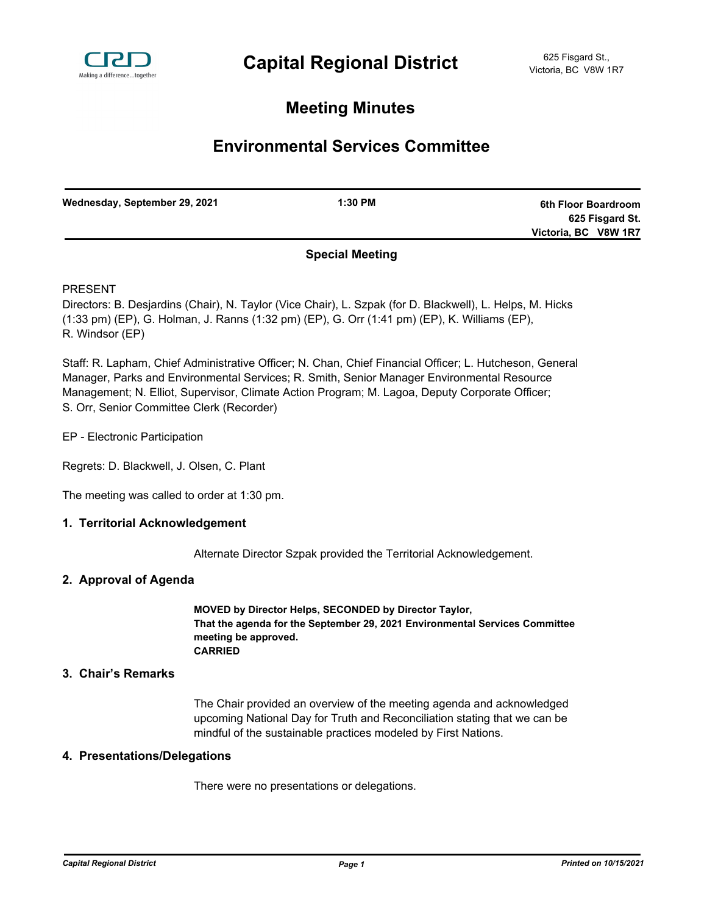

# **Meeting Minutes**

# **Environmental Services Committee**

| Wednesday, September 29, 2021 | $1:30$ PM              | 6th Floor Boardroom  |
|-------------------------------|------------------------|----------------------|
|                               |                        | 625 Fisgard St.      |
|                               |                        | Victoria, BC V8W 1R7 |
|                               | <b>Concial Monting</b> |                      |

## **Special Meeting**

PRESENT

Directors: B. Desjardins (Chair), N. Taylor (Vice Chair), L. Szpak (for D. Blackwell), L. Helps, M. Hicks (1:33 pm) (EP), G. Holman, J. Ranns (1:32 pm) (EP), G. Orr (1:41 pm) (EP), K. Williams (EP), R. Windsor (EP)

Staff: R. Lapham, Chief Administrative Officer; N. Chan, Chief Financial Officer; L. Hutcheson, General Manager, Parks and Environmental Services; R. Smith, Senior Manager Environmental Resource Management; N. Elliot, Supervisor, Climate Action Program; M. Lagoa, Deputy Corporate Officer; S. Orr, Senior Committee Clerk (Recorder)

- EP Electronic Participation
- Regrets: D. Blackwell, J. Olsen, C. Plant

The meeting was called to order at 1:30 pm.

### **1. Territorial Acknowledgement**

Alternate Director Szpak provided the Territorial Acknowledgement.

### **2. Approval of Agenda**

**MOVED by Director Helps, SECONDED by Director Taylor, That the agenda for the September 29, 2021 Environmental Services Committee meeting be approved. CARRIED**

### **3. Chair's Remarks**

The Chair provided an overview of the meeting agenda and acknowledged upcoming National Day for Truth and Reconciliation stating that we can be mindful of the sustainable practices modeled by First Nations.

### **4. Presentations/Delegations**

There were no presentations or delegations.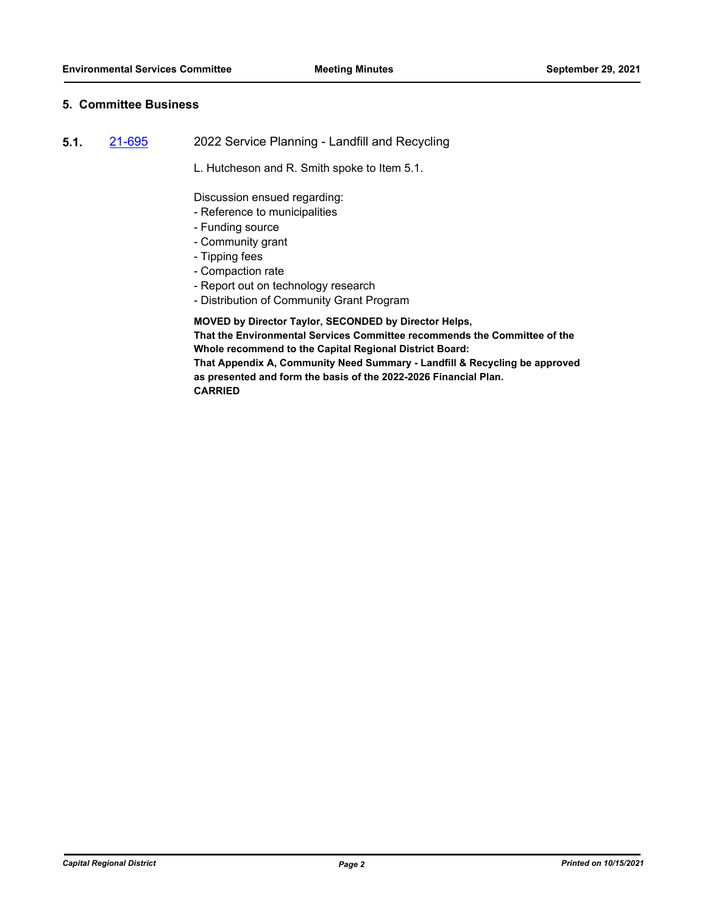### **5. Committee Business**

- **5.1.** [21-695](http://crd.ca.legistar.com/gateway.aspx?m=l&id=/matter.aspx?key=8643) 2022 Service Planning Landfill and Recycling
	- L. Hutcheson and R. Smith spoke to Item 5.1.

Discussion ensued regarding:

- Reference to municipalities
- Funding source
- Community grant
- Tipping fees
- Compaction rate
- Report out on technology research
- Distribution of Community Grant Program

**MOVED by Director Taylor, SECONDED by Director Helps, That the Environmental Services Committee recommends the Committee of the Whole recommend to the Capital Regional District Board: That Appendix A, Community Need Summary - Landfill & Recycling be approved as presented and form the basis of the 2022-2026 Financial Plan.**

**CARRIED**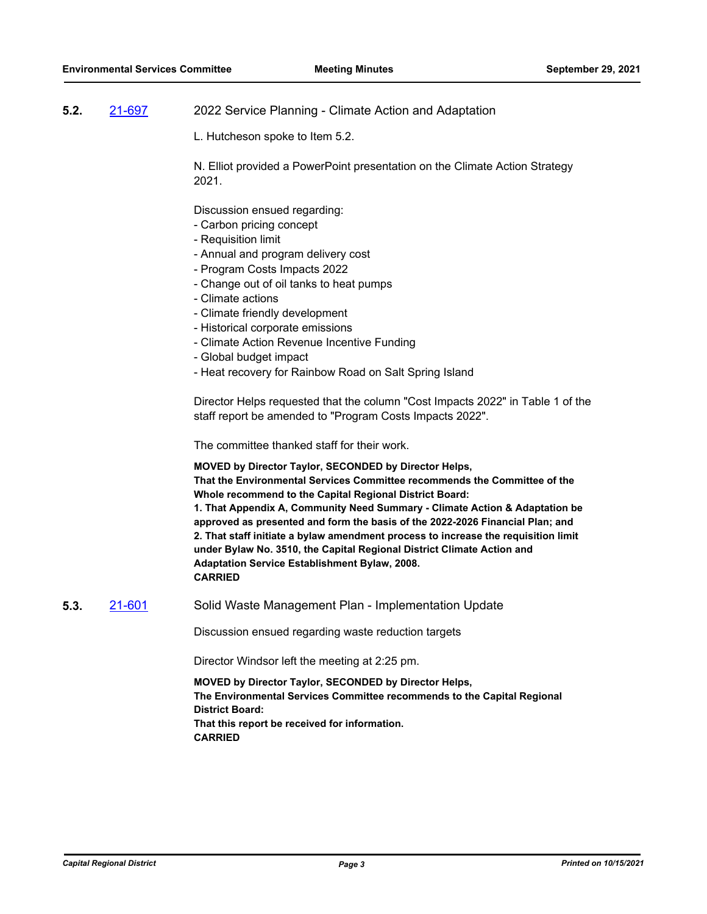### **5.2.** [21-697](http://crd.ca.legistar.com/gateway.aspx?m=l&id=/matter.aspx?key=8645) 2022 Service Planning - Climate Action and Adaptation

L. Hutcheson spoke to Item 5.2.

N. Elliot provided a PowerPoint presentation on the Climate Action Strategy 2021.

Discussion ensued regarding:

- Carbon pricing concept
- Requisition limit
- Annual and program delivery cost
- Program Costs Impacts 2022
- Change out of oil tanks to heat pumps
- Climate actions
- Climate friendly development
- Historical corporate emissions
- Climate Action Revenue Incentive Funding
- Global budget impact
- Heat recovery for Rainbow Road on Salt Spring Island

Director Helps requested that the column "Cost Impacts 2022" in Table 1 of the staff report be amended to "Program Costs Impacts 2022".

The committee thanked staff for their work.

**MOVED by Director Taylor, SECONDED by Director Helps, That the Environmental Services Committee recommends the Committee of the Whole recommend to the Capital Regional District Board: 1. That Appendix A, Community Need Summary - Climate Action & Adaptation be approved as presented and form the basis of the 2022-2026 Financial Plan; and 2. That staff initiate a bylaw amendment process to increase the requisition limit under Bylaw No. 3510, the Capital Regional District Climate Action and Adaptation Service Establishment Bylaw, 2008. CARRIED**

**5.3.** [21-601](http://crd.ca.legistar.com/gateway.aspx?m=l&id=/matter.aspx?key=8549) Solid Waste Management Plan - Implementation Update

Discussion ensued regarding waste reduction targets

Director Windsor left the meeting at 2:25 pm.

**MOVED by Director Taylor, SECONDED by Director Helps, The Environmental Services Committee recommends to the Capital Regional District Board: That this report be received for information. CARRIED**